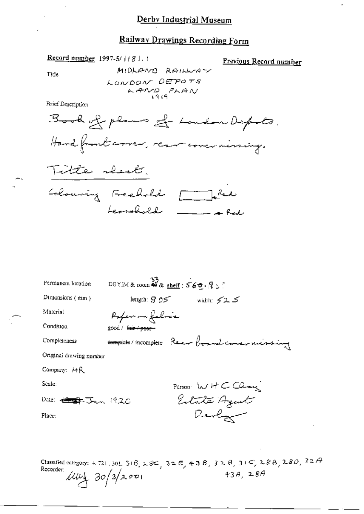### Railway Drawings Recording Form

MIDLAND RAILWAY

 $KAND$ <sub>1919</sub> $PKAN$ 

Book of plans of London Depots.

LONDON DEPOTS

Previous Record number

Hand front cover, rear cover missing. Titte shock. Colouring Freehold [ Red Leonaldell \_\_\_\_\_\_  $\frac{33}{25}$  DBYIM & room  $\frac{49}{28}$  shelf:  $560.95$ Permanent location Dimensions  $(mm)$ length:  $805$  width:  $525$ Material Pofer in falric Condition good / fa<del>ir / poor</del>complete/incomplete Rear boardcorer missing Completeness Original drawing number Company: MR Scale: Person WHCClaus Estate Agent Date: <del>Letter James</del> 1920 Devlop Place:

Classified category: 4.721, 301,  $3(\hat{B}_1 \times \hat{S}C_1, 3\Delta E_2, 43B_1, 3\Delta B_1, 31C_1, 2.8B_1, 2.8D_1, 32A$ Recorder:  $43A, 28A$  $1144.30/3/2001$ 

Title

**Brief Description** 

Record number 1997-5/1181.1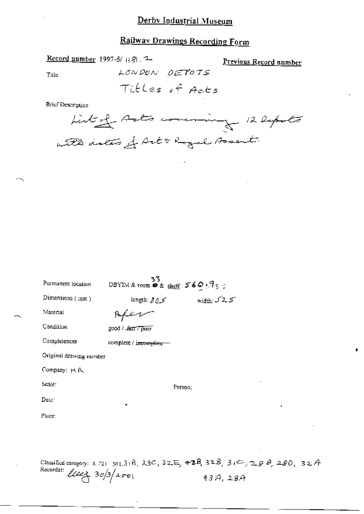## **Railway Drawings Recording Form**

Record number 1997-5/ 1181. 7-

Previous Record number

Title

Titles of Acts

LONDON DEPOTS

Brief Description

Listed Ado comming 12 Depots with dates of Art & Royal Assembly

| Permanent location                                                                                                                                                                                                                                               | $\frac{33}{200}$ DBYIM & toom @ & shelf : 5 6 Q : 9 z $\pm$ |                            |
|------------------------------------------------------------------------------------------------------------------------------------------------------------------------------------------------------------------------------------------------------------------|-------------------------------------------------------------|----------------------------|
| Dimensions (mm)                                                                                                                                                                                                                                                  | length: $80\leq$                                            | width: $\sqrt{2}$ $\leq$   |
| Material                                                                                                                                                                                                                                                         | rfer                                                        |                            |
| Condition                                                                                                                                                                                                                                                        | good / . <del>fair / po</del> nt                            |                            |
| Completeness                                                                                                                                                                                                                                                     | complete / i <del>ncomplete -</del>                         |                            |
| Original drawing number                                                                                                                                                                                                                                          |                                                             |                            |
| Company: H R                                                                                                                                                                                                                                                     |                                                             |                            |
| Scale:                                                                                                                                                                                                                                                           | Person;                                                     |                            |
| Date:                                                                                                                                                                                                                                                            |                                                             |                            |
| Place:                                                                                                                                                                                                                                                           |                                                             |                            |
|                                                                                                                                                                                                                                                                  |                                                             |                            |
|                                                                                                                                                                                                                                                                  |                                                             |                            |
| $C$ is a set of $\mathbb{R}^n$ . The set of $\mathbb{R}^n$ is a set of $\mathbb{R}^n$ is a set of $\mathbb{R}^n$ is a set of $\mathbb{R}^n$ is a set of $\mathbb{R}^n$ is a set of $\mathbb{R}^n$ is a set of $\mathbb{R}^n$ is a set of $\mathbb{R}^n$ is a set |                                                             | ാരുക മാത്ര പാതി മാതി മാത്ര |

Classified category: 4, 721, 301, 31B,  $\lambda$ SC, 32E, 43B, 32B, 31C, 29B, 28D, 32A Recorder:  $l$ leez  $30/3/200$  $43A,28A$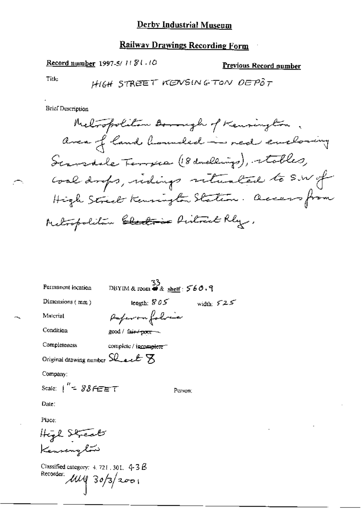Record number 1997-5/1181.10

**Previous Record number** 

Title

| Permanent location                                                                                | 33<br>DBYIM & room $\bullet$ & shelf : 560.9 |         |              |  |
|---------------------------------------------------------------------------------------------------|----------------------------------------------|---------|--------------|--|
| Dimensions $(mm)$                                                                                 | length: $805$                                |         | width: $525$ |  |
| Material                                                                                          | Paperonfolice                                |         |              |  |
| Condition                                                                                         | good / fair / poor ~                         |         |              |  |
| Completeness                                                                                      | complete / incomplete =                      |         |              |  |
| Original drawing number $\Omega_{\!\!\mathcal{L}\!\!\mathcal{L}}\mathcal{L}\boxtimes \mathcal{L}$ |                                              |         |              |  |
| Company:                                                                                          |                                              |         |              |  |
| Scale: $1'' = 8866667$                                                                            |                                              | Реткоп: |              |  |
| Date:                                                                                             |                                              |         |              |  |
| Place:                                                                                            |                                              |         |              |  |
|                                                                                                   |                                              |         |              |  |
| High Streak<br>Kennenglow                                                                         |                                              |         |              |  |
| Classified category: $4.721$ , $301$ , $-4.3$ $\cancel{B}$<br>Recorder:<br>$\mu$ 4 30/3/2001      |                                              |         |              |  |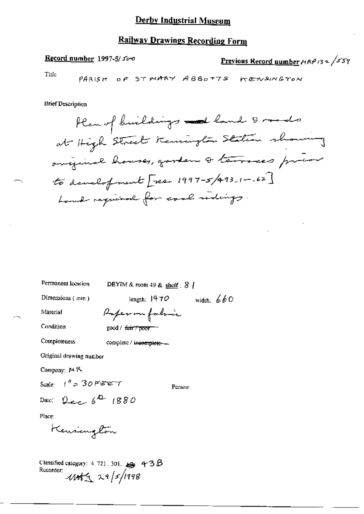## **Railway Drawings Recording Form**

#### Record number 1997-5/500

# Previous Record number  $AP/32$  /559

Title

PARISH OF STWARY ABBOTTS KENSINGTON

| Permanent location                                                                                        | DBYIM & room 49 & shelf: $8$ { |              |
|-----------------------------------------------------------------------------------------------------------|--------------------------------|--------------|
| Dimensions (mm)                                                                                           | lenguh, $1470$                 | width: $660$ |
| Material                                                                                                  | Poper on fabric                |              |
| Condition                                                                                                 | good / <del>fair / poor</del>  |              |
| Completeness                                                                                              | complete / incomplete-         |              |
| Original drawing number                                                                                   |                                |              |
| Company: $M R$                                                                                            |                                |              |
| Scale: $1''$ = 30 FEET                                                                                    |                                | Person:      |
| Date: Dec 6 <sup>2</sup> 1880                                                                             |                                |              |
| Place:                                                                                                    |                                |              |
| Keusington                                                                                                |                                |              |
| Classified category: 4, 721, 301, $\mathbf{g}$ 4–3 $\mathcal B$<br>Recorder;<br>$1045 \times 10^{5}$ /198 |                                |              |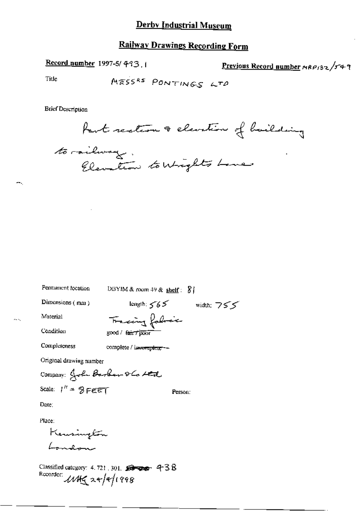### **Railway Drawings Recording Form**

Record number 1997-5/493.1

Previous Record number MRP132/549

Title

**Brief Description** 

Part rection & elevation of bailding

to railway. Elevation to Wrights Love

Permanent location

DBYIM & room 49 & shelf:  $81$ 

Dimensions (mm)

length:  $565$  width:  $755$ 

Material

Tracing foliaic good / fair / poor

Completeness

Condition

complete / incomplete --

Original drawing number

Company: John Barbar 86 Led Scale:  $1'' = 8$  FEET Person:

Date:

Place:

Kensington London

Classified category: 4, 721, 301,  $\blacktriangleright$   $\blacktriangleright$   $\blacktriangleright$   $\blacktriangleright$   $\blacktriangleright$   $\blacktriangleright$   $\blacktriangleright$   $\blacktriangleright$   $\blacktriangleright$   $\blacktriangleright$   $\blacktriangleright$   $\blacktriangleright$   $\blacktriangleright$   $\blacktriangleright$   $\blacktriangleright$   $\blacktriangleright$   $\blacktriangleright$   $\blacktriangleright$   $\blacktriangleright$   $\blacktriangleright$   $\blacktriangleright$   $\blacktriangleright$   $\blacktriangleright$   $\black$ Recorder:  $11422+191998$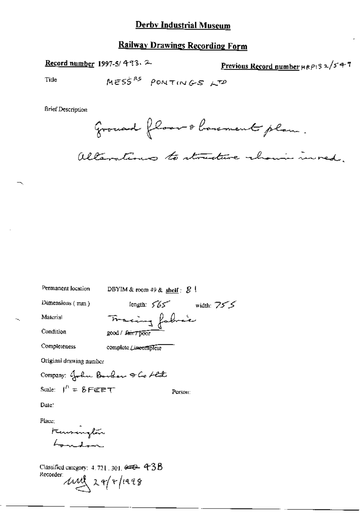#### **Railway Drawings Recording Form**

Record number 1997-5/493.2

Previous Record number HRP132/547

Title

**Brief Description** 

Grouand floor & bourment plan.

alterations to structure chain invest.

Permanent location DBYIM & room 49 & shelf :  $8$  ! length:  $565$  width:  $755$ Dimensions (mm) Tracing fabric Material Condition good / fair / poor Completeness complete Lineomplete Original drawing number Company: John Boshow & Co Alt Scale:  $I^{\prime\prime} = 8$  FEET Person: Date: Place: Kansanglão

Classified category: 4, 721, 301,  $e=0-43B$ Recorder und 29/4/1998

 $h_{\rm peak}$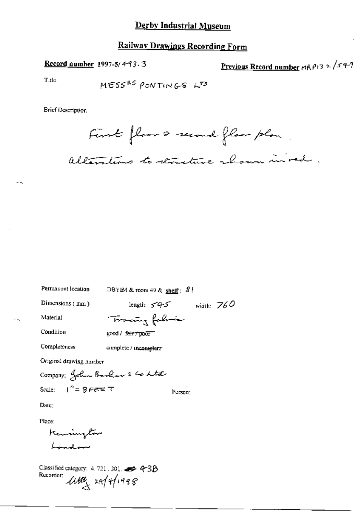Record number 1997-5/4-93.3

Previous Record number  $r(RP)$ 3 2/54-9

Title

MESS<sup>RS</sup> PONTING-S 
$$
\kappa^{TS}
$$

**Brief Description** 

First floor & second floor plan alterations to structure aboun in red.

Permanent location

DBYIM & room 49 & shelf :  $81$ 

Tracing following

Dimensions (mm)

length:  $545$  width:  $760$ 

Person:

Condition

Material

 $\cdot$ .

good / fair / poor

Completeness

complete / incomplete

Original drawing number

Company: John Barker & Co Lta Scale:  $1'' = 8$   $65 = 7$ 

Date:

Place:

Kennington بسيطين

Classified category: 4.721.301. 30 4-3B Recorder: 1169 29/9/1998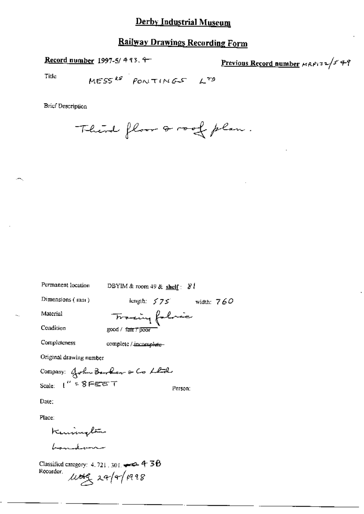# **Railway Drawings Recording Form**

Record number 1997-5/ 4 93. 4-

Previous Record number MRP132/549

Title

$$
MESS^{RS} = PONITINGS = L^{TS}
$$

Third floor a roof plan.

| Permanent location                                                 | DBYIM & room 49 & shelf: $81$ |
|--------------------------------------------------------------------|-------------------------------|
| Dimensions (mm)                                                    | length: $575$ width: $760$    |
| Material                                                           | Tracing folice                |
| Condition                                                          | good / fair 7 poor            |
| Completeness                                                       | complete / incomplute-        |
| Original drawing number                                            |                               |
|                                                                    | Company: John Berkon & Co Lld |
| scale: (" = 8 Fezer T                                              | Person:                       |
| Date:                                                              |                               |
| Place:                                                             |                               |
| Kenington                                                          |                               |
|                                                                    |                               |
| Classified category: 4, 721, 301, $\rightarrow$ 4, 30<br>Recorder. | $\mu$ teg 24/4/1998           |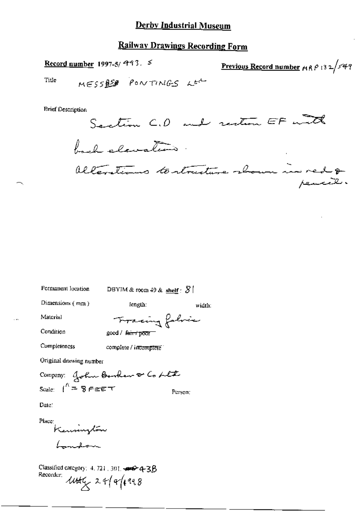### **Railway Drawings Recording Form**

Record number 1997-5/ $997.5$ <u>Previous Record number</u>  $mRP132/549$ Title MESSRED PONTINGS LEC

**Brief Description** 

Section C.D and restrom EF with back elevation alterations to structure shown in red &

width:

Permanent location

DBYIM & room 49 & shelf :  $8$ 

Dimensions (mm)

length:

Material Condition

Tracing folvic good / fair + poor

Completeness

complete / incomplete

Original drawing number

Company: John Barker & Co Ltt Scale:  $1^k = 8$  FEET Person:

Date:

Place: Kennington Landon

Classified category: 4, 721, 301, see 4-3B Recorder;  $444\frac{1}{2}$  24/4/1998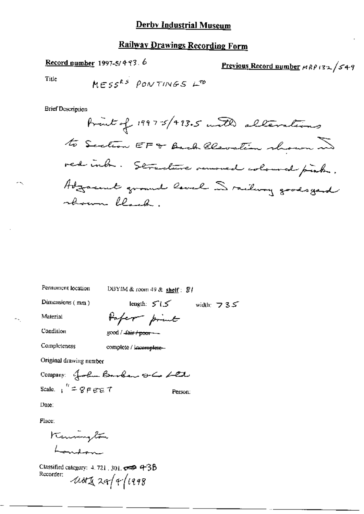## Railway Drawings Recording Form

Record number 1997-5/493.6

Previous Record number  $ARPI32/549$ 

Title

×۶,

×.

**MES**<sup>ks</sup> *PONTINGS* 
$$
L^{ro}
$$

**Brief Description** 

Permanent location

DBYIM & room 49 & shelf: SI

Paper print

Dimensions (mm)

length:  $515$  width:  $735$ 

Condition

Material

good / fair / poor - -

Completeness

complete / incomplete-

Original drawing number

Company: John Barbar och Ltd Scale  $1'' = 8$  F E E T Person:

Date:

Place:

Kennington Landon

Classified category: 4.721, 301,  $\sigma$  = 43B Recorder;  $118229/4/1998$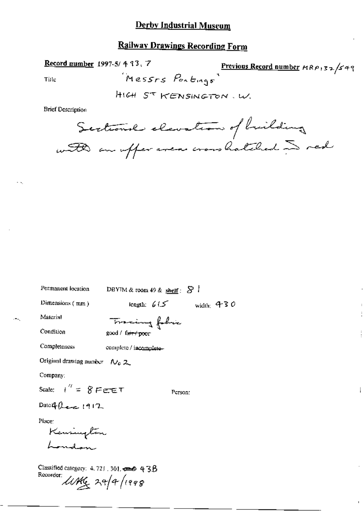Record number 1997-5/43,7

Previous Record number MRP132/549 Messrs Portings

Ť

Title

. — ...

HIGH ST KENSINGTON . W.

Sectional elevation of building with an uffer avere cross hatched in red

| Permanent location                                                                       | DBYIM & room 49 & shelf: $S1$  |
|------------------------------------------------------------------------------------------|--------------------------------|
| Dimensions $(mn)$                                                                        | length: $615$ width: 430       |
| Material                                                                                 | Tracing folic                  |
| Condition                                                                                | good / fa <del>ir / poor</del> |
| <b>Completeness</b>                                                                      | complete / incomplete-         |
| Original drawing number $N_0 \, Z$                                                       |                                |
| Company:                                                                                 |                                |
| Scale: $t'' = 8$ Fere T                                                                  | Person:                        |
| Date of $0$ exec 1912                                                                    |                                |
| Place:<br>Kensington<br>London                                                           |                                |
| Classified category: $4.721$ , $301$ , $\rightleftharpoons$ $\oplus$ $4.38$<br>Recorder: | $\mu$ Mg 29/4/1998             |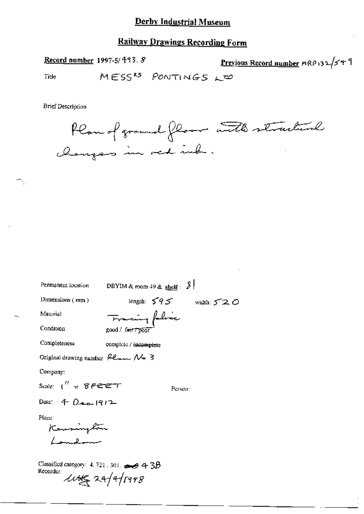## **Railway Drawings Recording Form**

Record number 1997-5/493.8

Previous Record number MRP 132/549

MESS<sup>RS</sup> PONTINGS LED Title



| Permanent location                                                  | DBYIM & room 49 & $\frac{\text{shell}}{3}$ |
|---------------------------------------------------------------------|--------------------------------------------|
| Dimensions $(mm)$                                                   | length $595$<br>width: $520$               |
| Material                                                            | Francing folice                            |
| Condition                                                           | good / fair / poor                         |
| Completeness                                                        | complete / incomplete                      |
| Original drawing number $\mu_{\text{max}} \mathcal{N}_{\text{m}}$ 3 |                                            |
| Company:                                                            |                                            |
| Scale: $1'' = 8$ Feren $T$                                          | Person:                                    |
| Date: 4 $0.6 - 1912$                                                |                                            |
| Place:                                                              |                                            |
| Kensington                                                          |                                            |
| $\sqrt{a}$                                                          |                                            |
| Classified category: 4, 721, 301, $\rightarrow$ 4, 3B<br>Recorder:  | $\mu$ ute 24/4/1998                        |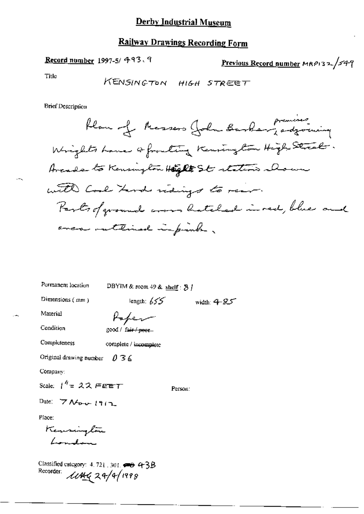#### Record number 1997-5/ 493.9

Previous Record number MRP132/549

Title

**Brief Description** 

| Permanent location |  |
|--------------------|--|
|--------------------|--|

DBYIM & room 49 & shelf:  $5$  /

Dimensions (mm)

length:  $655$  width:  $4-85$ 

Person:

Material

Poper

Condition

Completeness

good / fair / poor-

complete / incomplete

Original drawing number  $036$ 

Company:

Scale:  $1^h = 22$  FEET

Date:  $7$  Nov  $1912$ 

Place:

Kensington London

Classified category: 4.721.301.  $\rightarrow$  43B<br>Recorder:  $\angle U \angle KQ \angle 29/9/1999$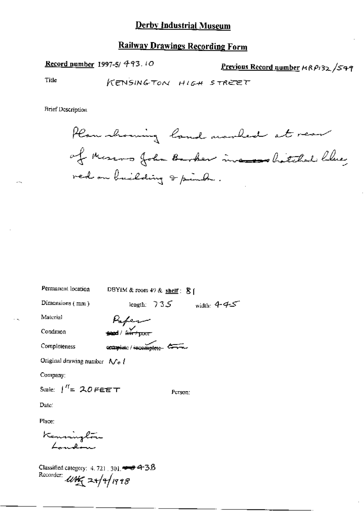Record number 1997-5/ 493.10

Previous Record number HRP132 /S49

Title

KENSINGTON HIGH STREET

Plan showing land marked at rear of Messons John Barber incomes hatched blue red on building & pinch.

| Permanent location                                                                                                                               | DBYIM & room 49 & shelf: $8$ ( |         |                            |
|--------------------------------------------------------------------------------------------------------------------------------------------------|--------------------------------|---------|----------------------------|
| Dimensions (mm)                                                                                                                                  |                                |         | length: $735$ width: $445$ |
| Material                                                                                                                                         |                                |         |                            |
| Condition                                                                                                                                        |                                |         |                            |
| Completeness                                                                                                                                     | ecumplete / incomplete         |         |                            |
| Original drawing number $N_e$ /                                                                                                                  |                                |         |                            |
| Company:                                                                                                                                         |                                |         |                            |
| Scale: $1^{\prime\prime}$ = 20 FEET                                                                                                              |                                | Person: |                            |
| Date:                                                                                                                                            |                                |         |                            |
| Place:                                                                                                                                           |                                |         |                            |
| Kenninglón<br>London                                                                                                                             |                                |         |                            |
| Classified category: $4.721, 301$ , $\rightarrow$ $\rightarrow$ $4.35$<br>Recorder: $\mathcal{W}$<br>$\mathcal{W}$ $\rightarrow$ $\sqrt{4/1998}$ |                                |         |                            |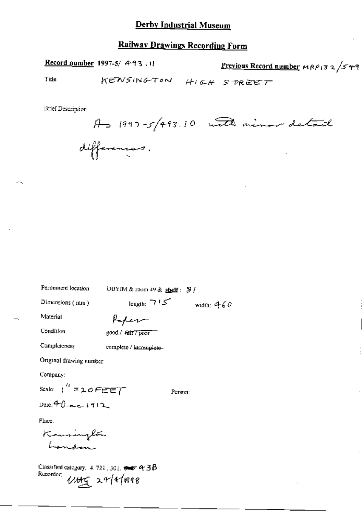Record number 1997-5/ 493.11

Previous Record number MRP132/549

Title

KENSINGTON HIGH STREET

**Brief Description** 

 $A \rightarrow 1997 - 5/493.10$  with minor detail differences.

| Permanent location                                                         | DBYIM & room 49 & shelf: $\frac{1}{2}$ / |              |
|----------------------------------------------------------------------------|------------------------------------------|--------------|
| Dimensions $(mm)$                                                          | length: 712                              | wiath: $460$ |
| Material                                                                   | Kaper                                    |              |
| Condition                                                                  | good / Jair 7 poor                       |              |
| Completeness                                                               | complete / incomplete-                   |              |
| Original drawing number                                                    |                                          |              |
| Company:                                                                   |                                          |              |
| Scale: $i'' = 20$ FEET                                                     | Person:                                  |              |
| Date: $40 - 1912$                                                          |                                          |              |
| Place:                                                                     |                                          |              |
| Kensington                                                                 |                                          |              |
|                                                                            |                                          |              |
| Classified category: $4.721$ , $301$ , $\leftrightarrow$ 4 3B<br>Recorder: | $11449$ 24/4/1998                        |              |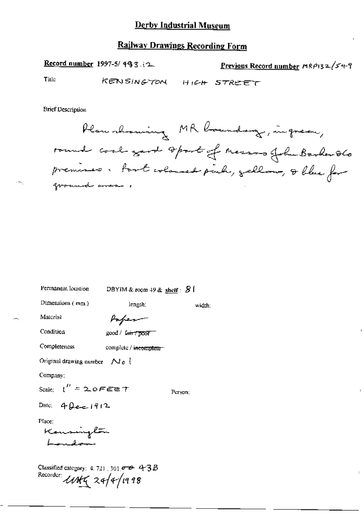Record number 1997-5/493.12

Previous Record number  $MRPI32/549$ 

Title

KENSINGTON HIGH STREET

**Brief Description** 

Plan showing MR boundary, ingreen, round coal yard sport of Messons for Barber 860 premises. Part coloused puch, gallow, & blue for ground anca .

width:

Permanent location DBYIM & room 49 & shelf:  $\mathcal{B}$  |

Dimensions  $(mn)$ 

Paper

length:

Condition

Material

good / Luis / poor

Completeness complete / incomplete-

Original drawing number  $\bigwedge_{\mathcal{C}} \{$ 

Company:

Scale:  $\binom{n}{k}$  = 2.0 FEET

Person;

Date:  $4 \Omega$ e-c-1912

Place:

Kansington Landon

Classified category: 4, 721, 301,  $\sigma \rightarrow 4$  3B Recorder *LWKG* 24/4/1998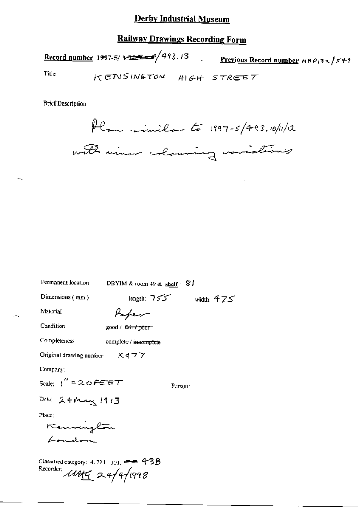#### **Railway Drawings Recording Form**

Record number 1997-5/ $\sqrt{473.13}$ . Previous Record number  $MRP/32/57$ ?

Title

KENSINGTON HIGH STREET

**Brief Description** 

Plan similar to 1997-5/493.10/11/12 with niner colouring variations

Permanent location

DBYIM & room  $49$  & shelf:  $9$ 

Dimensions  $(mn)$ 

Paper

Condition

Completeness

Material

 $good / 6~~int~~ 1000<sup>-1</sup>$ 

complete / incomplete-

Original drawing number  $X477$ 

Company:

Person<sup>-</sup>

length:  $755$  width:  $475$ 

Date: 24 May 1913

Place:

Kannington Landon

Classified category: 4.721, 301, 200 43B Recorder, 11145 24/9/1998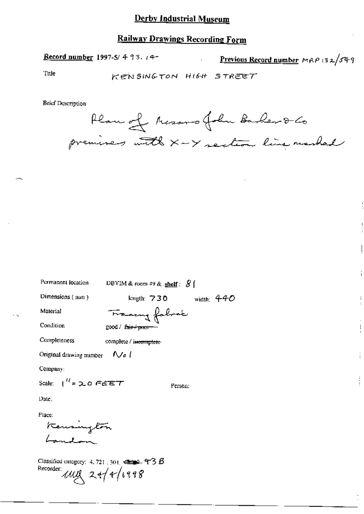Record number 1997-5/493.14-

Previous Record number MAP 132/549

Title

KENSINGTON HIGH STREET

**Brief Description** 

Plan of Mesons foli Barber & Co premises with x-y section line masked

width:  $440$ 

| Permanent location |  |
|--------------------|--|
|--------------------|--|

Dimensions (mm)

DBYIM & room 49 & shelf:  $8$  (

length:  $730$ 

Material

Condition

Tracing fabros good / fair+poor

Completeness complete / incomplete

Nol Original drawing number

Company:

Scale:  $\int_1^{t/2}$  = 2.0 FEET

Person:

Date;

Place:

Kensington

Classified category: 4, 721, 301,  $\epsilon = 4.36$ Recorder:  $11222 + 11998$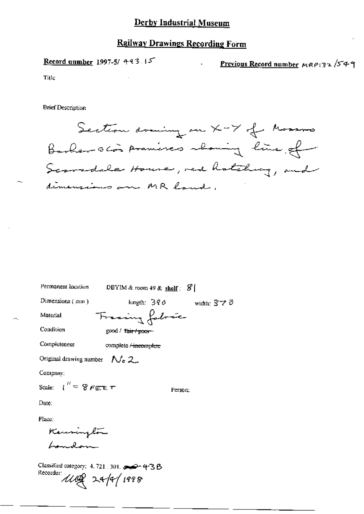### **Railway Drawings Recording Form**

Record number 1997-5/ 493.15

Previous Record number  $MRP$ 132/549

Title

**Brief Description** 

Permanent location

Section drawing on X-7 of Mossoms Barbar ocos premises abouning line of Scaradale House, red hatching, and dimensions on MR land,

DBYIM & room  $49$  & shelf:  $\mathcal{S}$  | Dimensions (mm) length:  $390$  width:  $370$ Fracing fobric Material Condition good / fair / poor-Completeness complete / incomplete Original drawing number  $N_0 2$ Company: Scale:  $I'' = 8$  FEE T Person:

Date:

Place:

Kennington London

Classified category: 4, 721, 301, 202-438 Recorder: 1100 24/4/1998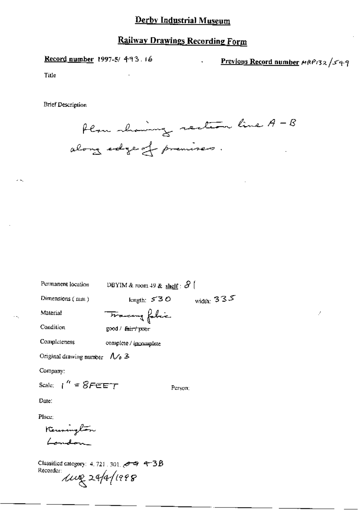Record number 1997-5/ 493.16

Previous Record number MRP132/549

Title

**Brief Description** 

Plan showing section line A - B along edge of premises.

Permanent location

DBYIM & room 49 & shelf:  $S$  (

Dimensions (mm)

length:  $530$  width:  $335$ 

Person:

Condition

Completeness

Material

Tracing fabric  $good / fair / mx$ 

complete / incomplete

Original drawing number  $\Lambda$   $\rightarrow$  3

Company:

Scale:  $\int_0^R = 8F \epsilon F T$ 

Date:

Place:

Kennington London

Classified category: 4, 721, 301,  $\leftrightarrow$  9, 9–3B Recorder:<br> $\mu$ elle 24/4/1998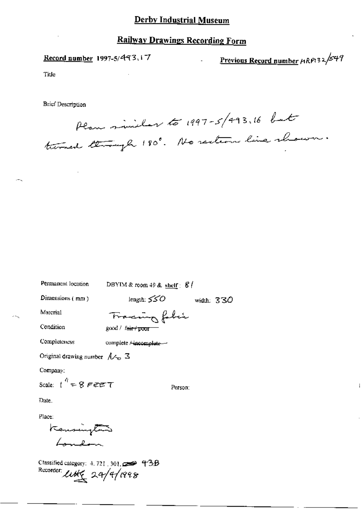### **Railway Drawings Recording Form**

Record number 1997-5/493.17

Previous Record number HRP132/549

Title

**Brief Description** 

Plan minichar to 1997-5/493,16 but turned though 180°. No rection line shown.

Permanent location

DBYIM & room 49 & shelf:  $8/$ 

Dimensions (mm)

length:  $550$ width:  $330$ 

Person:

Material

Condition

Completeness

Fracing faber good / fair / poor

complete / incomplete --

Original drawing number  $\Lambda \sim \mathbb{Z}$ 

Company:

Scale:  $t^q = 8$  FEET

Date.

Place:

Kansington London

Classified category:  $4.721$ ,  $301$ ,  $\implies$  43B Rucorder: little 24/4/1998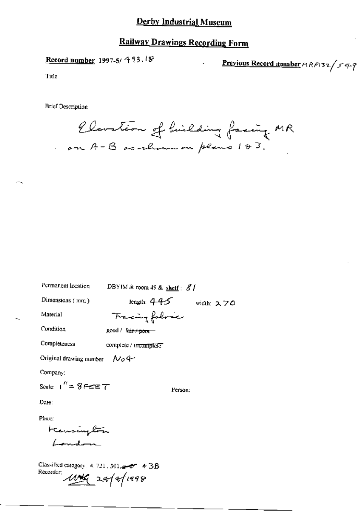## **Railway Drawings Recording Form**

Record number 1997-5/ 493.18

Previous Record number  $MRP$ 132/549

Title

**Brief Description** 

Elevation of huilding facing MR on A-B as shown on plans 183.

| Permanent location               | DBYIM & room 49 & shelf : $8/$ |            |
|----------------------------------|--------------------------------|------------|
| Dimensions (mm)                  | length: $445$                  | width: スフロ |
| Material                         | Francing follower              |            |
| Condition                        | good / t <del>air / poor</del> |            |
| Completeness                     | complete / mcomplete           |            |
| Original drawing number $\sim 4$ |                                |            |
| Company:                         |                                |            |
| Scale: $1'' = 8$ FEE $T$         | Person:                        |            |
| Date:                            |                                |            |
| Place:                           |                                |            |
| Kensington<br>London             |                                |            |
|                                  |                                |            |

Classified category: 4.721, 301 200 4 3B Recorder 114 24/4/1998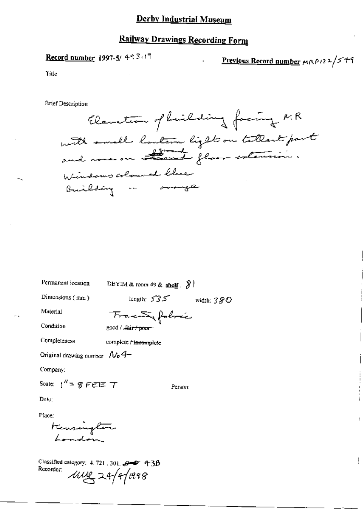#### **Railway Drawings Recording Form**

#### Record number 1997-5/493.19

Previous Record number MRP132/549

ţ.

Title

**Brief Description** 

Elevation of hickdring facing MR with small lautain light on tattant part and none on attend floor extension. Windows coloured blue Building in oringe

Permanent location

DBYIM & room 49 & shelf  $\left[ \right]$ 

Dimensions (mm)

length:  $535$  width:  $380$ Tracewa folocie

Condition

Completeness

Material

good / Lair / poor

complete rincomplete

Original drawing number  $N_0$   $4-$ 

Company:

Scale:  $1'' = 8$  FEE  $7$ 

Person:

Date:

Place:

transington

Classified category: 4, 721, 301,  $\rightarrow$  43B Recorder:  $1002 - 24/41998$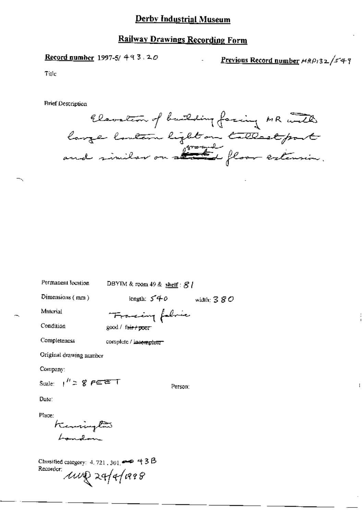#### **Railway Drawings Recording Form**

#### Record number 1997-5/493.20

Previous Record number HRP132/549

Title

**Brief Description** 

Clavation of building facing MR with large lontern light on tallest part

Permanent location

DBYIM & room 49 & shelf:  $S$  /

Dimensions (mm)

Material

length:  $540$  width:  $380$ Francing folice

Condition

Completeness

 $\text{good}$  / fair +  $\text{poor}$ 

complete / incomplete

Original drawing number

Company:

Scale:  $1'' = 8$   $F \in F$  T

Person:

Date:

Place:

Kennington  $\mathcal{L}_{\text{max}}$   $\mathcal{L}_{\text{max}}$ 

Classified category: 4, 721, 301,  $\rightarrow$  43B Recorder:  $\mu$ ung 24/4/1998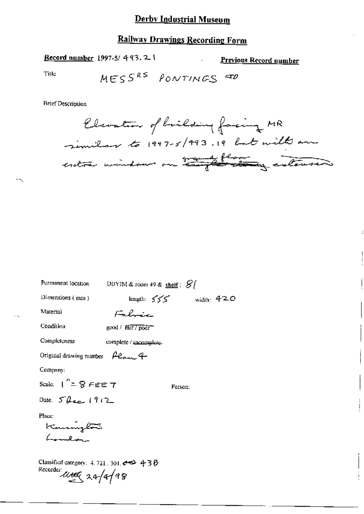## Railway Drawings Recording Form

**Contract Contract Contract** 

Record number 1997-5/493.21

Previous Record number

İ

Title

MESS<sup>RS</sup> PONTINGS **STD** 

| Permanent location                                                         | DBYIM & room 49 & shelf: $\mathcal{G}$     |              |              |
|----------------------------------------------------------------------------|--------------------------------------------|--------------|--------------|
| Dimensions (mm)                                                            |                                            | length: $55$ | width: $420$ |
| Material                                                                   | Fabric                                     |              |              |
| Condition                                                                  | good / $f\ddot{a}$ ir / $\overline{p}$ oor |              |              |
| Completeness                                                               | complete / incomplete-                     |              |              |
| Original drawing number $\rho_{\mathcal{C}_{\sigma\rightarrow\sigma}}$ +   |                                            |              |              |
| Company:                                                                   |                                            |              |              |
| Scale: $1'' = 8$ FEE 7                                                     |                                            | Person:      |              |
| Date: $5^{\prime}\theta_{\text{max}}$ (9(2)                                |                                            |              |              |
| Place:<br>Kamington<br>Lunchan                                             |                                            |              |              |
| Classified category: $4.721$ , $301.664$ , $438$<br>Recorder under 20/a/98 |                                            |              |              |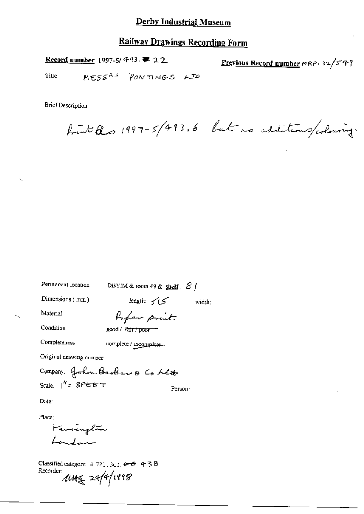Record number 1997-5/ 443. 第 22

Previous Record number mRP132/549

MESSRS PONTINGS LTD Title

**Brief Description** 

front Qs 1997-5/493.6 but no additions/colouring.

Permanent location

DBYIM & room 49 & shelf :  $81$ 

Dimensions (mm)

length:  $\checkmark$  i  $\checkmark$ width:

Material

Report prout

Condition

good / fair / poor

Completeness

complete / incomplete-

Original drawing number

Company. John Barber & Co Let Scale:  $1'' = 8$ PEET Person:

Date:

Place:

Henrington London

Classified category:  $4.721, 301$ ,  $\theta$   $\Theta$  438 Recorder UNE 29/9/1998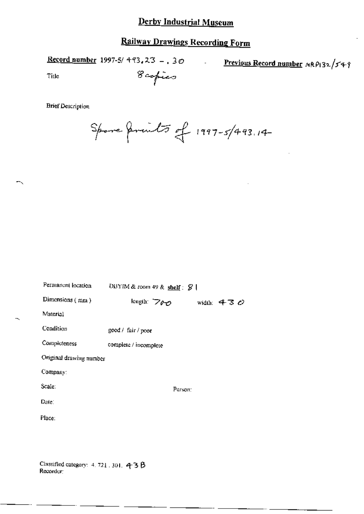Record number 1997-5/ 493, 23 -, 30 Previous Record number MRP132/549  $\overline{a}$ 8 copies Title

╮

Spore friends of 1997-5/493.14

| Permanent location                                 | DBYIM & room 49 & shelf: $\mathcal{G}$ |              |  |
|----------------------------------------------------|----------------------------------------|--------------|--|
| Dimensions (mm)                                    | length: 700                            | width: $430$ |  |
| Material                                           |                                        |              |  |
| Condition                                          | good / fair / poor                     |              |  |
| Completeness                                       | complete / incomplete                  |              |  |
| Original drawing number                            |                                        |              |  |
| Company:                                           |                                        |              |  |
| Scale:                                             | Person:                                |              |  |
| Date:                                              |                                        |              |  |
| Place:                                             |                                        |              |  |
|                                                    |                                        |              |  |
|                                                    |                                        |              |  |
| Classified category: 4, 721, 301, 43B<br>Recorder: |                                        |              |  |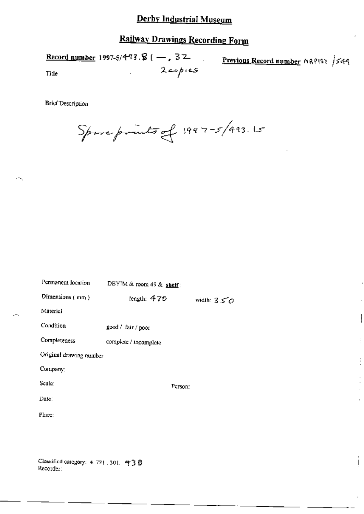# Railway Drawings Recording Form

Record number 1997-5/4-93.  $( - , 32 )$ Previous Record number MRP132 /549  $2 \epsilon$ opies Title

**Brief Description** 

Spare prints of 1997-5/493.15

| Permanent location      | DBYIM & room 49 & shelf : |              |  |
|-------------------------|---------------------------|--------------|--|
| Dimensions (mm)         | length: $470$             | width: $350$ |  |
| Material                |                           |              |  |
| Condition               | good / fair / poor        |              |  |
| Completeness            | complete / incomplete     |              |  |
| Original drawing number |                           |              |  |
| Company:                |                           |              |  |
| Scale:                  | Person;                   |              |  |
| Date:                   |                           |              |  |
| Place:                  |                           |              |  |
|                         |                           |              |  |
|                         |                           |              |  |

j.

Classified category: 4, 721, 301, 438 Recorder: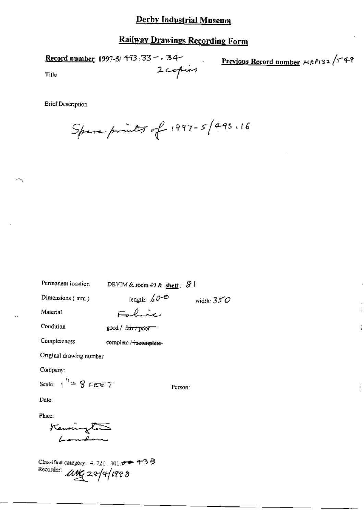2 copies

Record number 1997-5/ 493, 33 - . 34-

Previous Record number 
$$
\mu R^{\rho} (32 / 5.49)
$$

 $\vdots$ 

 $\overline{\phantom{a}}$ 

Title

**Brief Description** 

Spare prints of 1997-5/493.16

DBYIM & room 49 & shelf :  $S$ 

Person:

width:  $350$ 

length:  $60-8$ 

Dimensions (mm)

Material

Fabric

Condition

Completeness

good / fair / poor

complete / incomplete

Original drawing number

Company:

Scale:  $1^{12}$   $9$   $6557$ 

Date:

Place:

Kennington

Classified category: 4, 721, 301  $\leftrightarrow$  4-3  $\beta$ Recorder: May 24/4/1998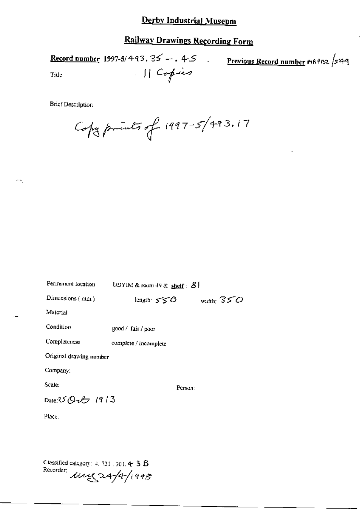## **Railway Drawings Recording Form**

Record number 1997-5/493.35 -. 45 Previous Record number MRP132 /549 in L 11 Copies Title

**Brief Description** 

-5

Copy prints of 1997-5/493.17

| Permanent focation      | UBYIM & room 49 & shelf: $8!$ |              |  |
|-------------------------|-------------------------------|--------------|--|
| Dimensions (mm)         | length 550                    | width: $350$ |  |
| Material                |                               |              |  |
| Condition               | good / fair / poor            |              |  |
| Completeness            | complete / incomplete         |              |  |
| Original drawing number |                               |              |  |
| Company:                |                               |              |  |
| Scale:                  | Person:                       |              |  |
| Date 25 Q $25$ 1913     |                               |              |  |
| Place:                  |                               |              |  |
|                         |                               |              |  |

Classified category: 4, 721, 301, 4-3 B Recorder  $ung$ 24/4/1948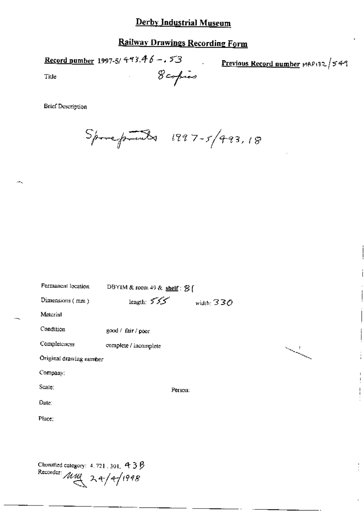# **Railway Drawings Recording Form**

8 copies

 $\ddot{\phantom{a}}$ 

Record number 1997-5/ 493.46 -.  $53$ 

Previous Record number MAP132 /549

 $\frac{1}{2}$ 

Title

**Brief Description** 

Sporeprots 1997-5/493,18

| Permanent location                         | DBYIM & room 49 & shelf : $\mathcal{B}$ [ |              |
|--------------------------------------------|-------------------------------------------|--------------|
| Dimensions (mm)                            | length: 555                               | width: $330$ |
| Material                                   |                                           |              |
| Condition                                  | good / fair / poor                        |              |
| Completeness                               | complete / incomplete                     |              |
| Original drawing number                    |                                           |              |
| Company:                                   |                                           |              |
| Scale:                                     | Person:                                   |              |
| Date:                                      |                                           |              |
| Place:                                     |                                           |              |
|                                            |                                           |              |
|                                            |                                           |              |
| Classified category: $4.721$ , 301, $4.38$ |                                           |              |

Recorder  $\overline{\mathcal{M}}$  24/4/1998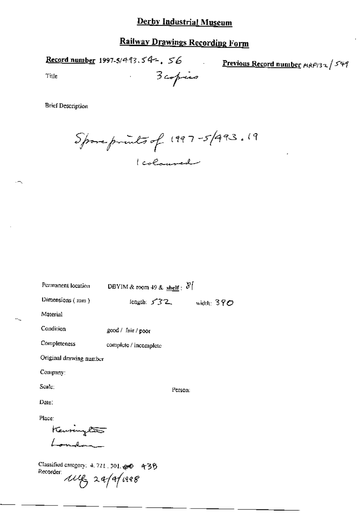# **Railway Drawings Recording Form**

3 copies

 $\ddot{\phantom{a}}$ 

Record number 1997-5/493.54 -. 56

Previous Record number MRP132 / 549

Title

Spore prints of 1997-5/993.19 1 colouved

| Permanent location                                                         | DBYIM & room 49 & $\frac{\text{shelf}}{\text{self}}$ : $\delta$ |              |
|----------------------------------------------------------------------------|-----------------------------------------------------------------|--------------|
| Dimensions $(mn)$                                                          | length: $532$                                                   | width: $390$ |
| Material                                                                   |                                                                 |              |
| Condition                                                                  | good / fair / poor                                              |              |
| Completeness                                                               | complete / incomplete                                           |              |
| Original drawing number                                                    |                                                                 |              |
| Company:                                                                   |                                                                 |              |
| Seate:                                                                     | Person:                                                         |              |
| Date:                                                                      |                                                                 |              |
| Place:                                                                     |                                                                 |              |
| Keuringe <del>ss</del><br>London                                           |                                                                 |              |
|                                                                            |                                                                 |              |
| Classified category: 4.721.301. 20 436<br>Recorder:<br>$w_{\xi}$ 2a/a/1998 |                                                                 |              |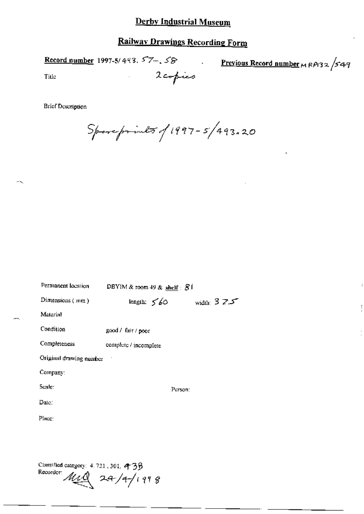## Railway Drawings Recording Form

**Record number** 1997-5/493.  $57 - 58$ 

Previous Record number  $\mu$  RP132 /549

Title

N

**Brief Description** 

 $S_{\!\!\!f\!}$  superints of 1997 - 5/493.20

2copies

| Permanent location                                                | DBYIM & room 49 & shelf $\subseteq$ $\mathcal{S}$ f |                     |  |
|-------------------------------------------------------------------|-----------------------------------------------------|---------------------|--|
| Dimensions $(mn)$                                                 | length: $\leq 60$                                   | width: $3 \times 7$ |  |
| Material                                                          |                                                     |                     |  |
| Condition                                                         | good / fair / poor                                  |                     |  |
| Completeness                                                      | complete / incomplete                               |                     |  |
| Original drawing number                                           |                                                     |                     |  |
| Company:                                                          |                                                     |                     |  |
| Scale:                                                            | Person:                                             |                     |  |
| Date:                                                             |                                                     |                     |  |
| Place:                                                            |                                                     |                     |  |
|                                                                   |                                                     |                     |  |
|                                                                   |                                                     |                     |  |
| Classified category: 4.721, 301, 438<br>Recorder MAQ<br>24/4/1998 |                                                     |                     |  |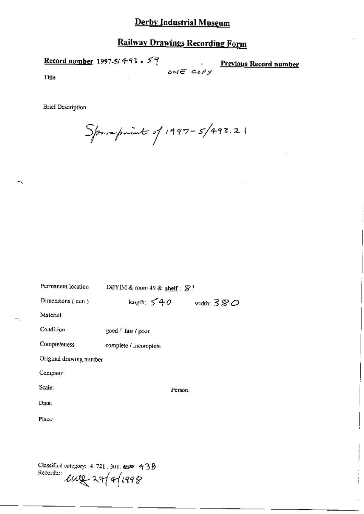# **Railway Drawings Recording Form**

Record number 1997-5/4-93 -  $59$ **Previous Record number**  $0NECO$ Title

**Brief Description** 

 $S_{\!\!f\!\!f\!\!f\!\!f\!\!f\!\!f}$  in 197-5/493.21

| Permanent location                                                              | DBYIM & room 49 & shelf: $\mathcal{G}$ |  |  |
|---------------------------------------------------------------------------------|----------------------------------------|--|--|
| Dimensions (mm)                                                                 | length: $540$<br>width: $380$          |  |  |
| Material                                                                        |                                        |  |  |
| Condition                                                                       | good / fair / poor                     |  |  |
| Completeness                                                                    | complete / incomplete                  |  |  |
| Original drawing number                                                         |                                        |  |  |
| Company:                                                                        |                                        |  |  |
| Scale:                                                                          | Person:                                |  |  |
| Date:                                                                           |                                        |  |  |
| Place:                                                                          |                                        |  |  |
|                                                                                 |                                        |  |  |
|                                                                                 |                                        |  |  |
| Classified category: $4.721$ , $301.65$ 438<br>Recorder:<br>$\ell\mu$ 24/4/1998 |                                        |  |  |

ł